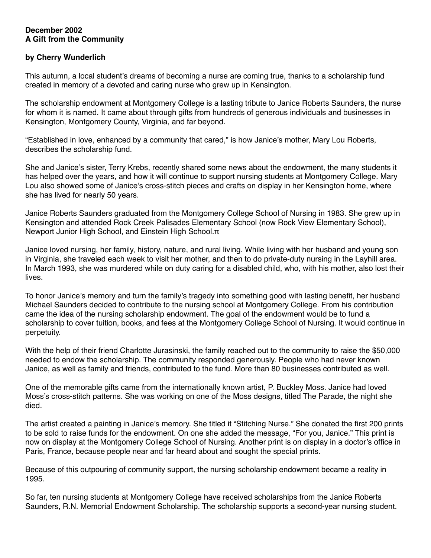## **December 2002 A Gift from the Community**

## **by Cherry Wunderlich**

This autumn, a local student's dreams of becoming a nurse are coming true, thanks to a scholarship fund created in memory of a devoted and caring nurse who grew up in Kensington.

The scholarship endowment at Montgomery College is a lasting tribute to Janice Roberts Saunders, the nurse for whom it is named. It came about through gifts from hundreds of generous individuals and businesses in Kensington, Montgomery County, Virginia, and far beyond.

"Established in love, enhanced by a community that cared," is how Janice's mother, Mary Lou Roberts, describes the scholarship fund.

She and Janice's sister, Terry Krebs, recently shared some news about the endowment, the many students it has helped over the years, and how it will continue to support nursing students at Montgomery College. Mary Lou also showed some of Janice's cross-stitch pieces and crafts on display in her Kensington home, where she has lived for nearly 50 years.

Janice Roberts Saunders graduated from the Montgomery College School of Nursing in 1983. She grew up in Kensington and attended Rock Creek Palisades Elementary School (now Rock View Elementary School), Newport Junior High School, and Einstein High School.π

Janice loved nursing, her family, history, nature, and rural living. While living with her husband and young son in Virginia, she traveled each week to visit her mother, and then to do private-duty nursing in the Layhill area. In March 1993, she was murdered while on duty caring for a disabled child, who, with his mother, also lost their lives.

To honor Janice's memory and turn the family's tragedy into something good with lasting benefit, her husband Michael Saunders decided to contribute to the nursing school at Montgomery College. From his contribution came the idea of the nursing scholarship endowment. The goal of the endowment would be to fund a scholarship to cover tuition, books, and fees at the Montgomery College School of Nursing. It would continue in perpetuity.

With the help of their friend Charlotte Jurasinski, the family reached out to the community to raise the \$50,000 needed to endow the scholarship. The community responded generously. People who had never known Janice, as well as family and friends, contributed to the fund. More than 80 businesses contributed as well.

One of the memorable gifts came from the internationally known artist, P. Buckley Moss. Janice had loved Moss's cross-stitch patterns. She was working on one of the Moss designs, titled The Parade, the night she died.

The artist created a painting in Janice's memory. She titled it "Stitching Nurse." She donated the first 200 prints to be sold to raise funds for the endowment. On one she added the message, "For you, Janice." This print is now on display at the Montgomery College School of Nursing. Another print is on display in a doctor's office in Paris, France, because people near and far heard about and sought the special prints.

Because of this outpouring of community support, the nursing scholarship endowment became a reality in 1995.

So far, ten nursing students at Montgomery College have received scholarships from the Janice Roberts Saunders, R.N. Memorial Endowment Scholarship. The scholarship supports a second-year nursing student.